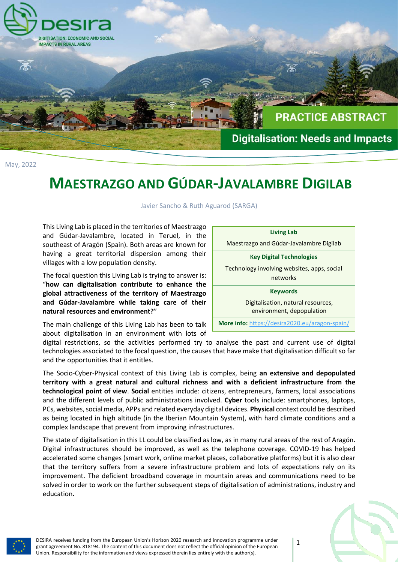

May, 2022

## **MAESTRAZGO AND GÚDAR-JAVALAMBRE DIGILAB**

Javier Sancho & Ruth Aguarod (SARGA)

This Living Lab is placed in the territories of Maestrazgo and Gúdar-Javalambre, located in Teruel, in the southeast of Aragón (Spain). Both areas are known for having a great territorial dispersion among their villages with a low population density.

The focal question this Living Lab is trying to answer is: "**how can digitalisation contribute to enhance the global attractiveness of the territory of Maestrazgo and Gúdar-Javalambre while taking care of their natural resources and environment?**"

The main challenge of this Living Lab has been to talk about digitalisation in an environment with lots of



digital restrictions, so the activities performed try to analyse the past and current use of digital technologies associated to the focal question, the causes that have make that digitalisation difficult so far and the opportunities that it entitles.

The Socio-Cyber-Physical context of this Living Lab is complex, being **an extensive and depopulated territory with a great natural and cultural richness and with a deficient infrastructure from the technological point of view**. **Social** entities include: citizens, entrepreneurs, farmers, local associations and the different levels of public administrations involved. **Cyber** tools include: smartphones, laptops, PCs, websites, social media, APPs and related everyday digital devices. **Physical** context could be described as being located in high altitude (in the Iberian Mountain System), with hard climate conditions and a complex landscape that prevent from improving infrastructures.

The state of digitalisation in this LL could be classified as low, as in many rural areas of the rest of Aragón. Digital infrastructures should be improved, as well as the telephone coverage. COVID-19 has helped accelerated some changes (smart work, online market places, collaborative platforms) but it is also clear that the territory suffers from a severe infrastructure problem and lots of expectations rely on its improvement. The deficient broadband coverage in mountain areas and communications need to be solved in order to work on the further subsequent steps of digitalisation of administrations, industry and education.



DESIRA receives funding from the European Union's Horizon 2020 research and innovation programme under grant agreement No. 818194. The content of this document does not reflect the official opinion of the European Union. Responsibility for the information and views expressed therein lies entirely with the author(s).